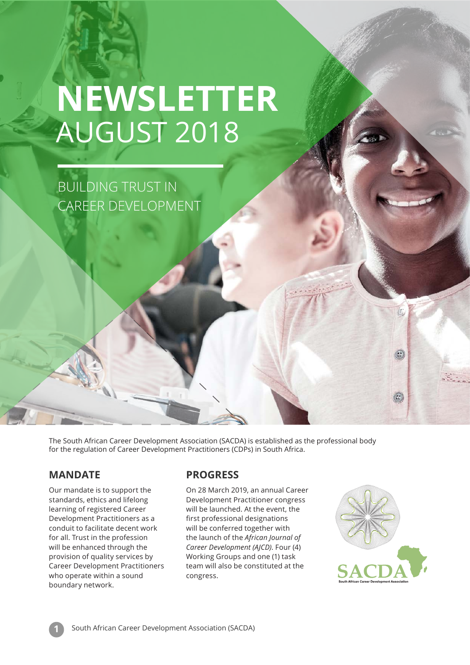## **NEWSLETTER** AUGUST 2018

BUILDING TRUST IN CAREER DEVELOPMENT

The South African Career Development Association (SACDA) is established as the professional body for the regulation of Career Development Practitioners (CDPs) in South Africa.

### **MANDATE**

Our mandate is to support the standards, ethics and lifelong learning of registered Career Development Practitioners as a conduit to facilitate decent work for all. Trust in the profession will be enhanced through the provision of quality services by Career Development Practitioners who operate within a sound boundary network.

### **PROGRESS**

On 28 March 2019, an annual Career Development Practitioner congress will be launched. At the event, the first professional designations will be conferred together with the launch of the *African Journal of Career Development (AJCD)*. Four (4) Working Groups and one (1) task team will also be constituted at the congress.



 $\mathcal{C}$ 

 $\overline{\mathbb{C}}$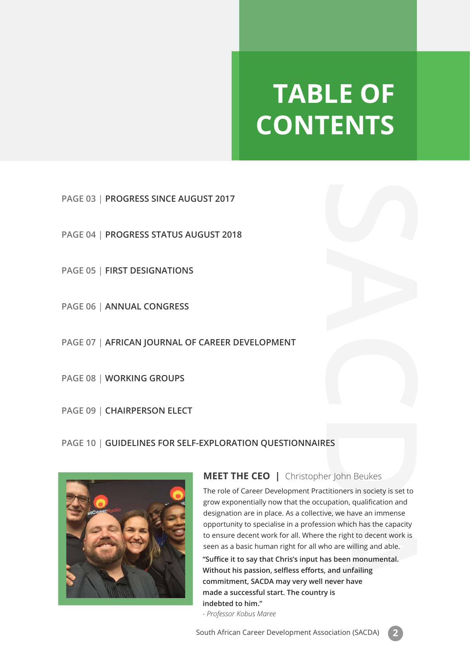## **TABLE OF CONTENTS**

**PAGE 03** | **PROGRESS SINCE AUGUST 2017**

**PAGE 04** | **PROGRESS STATUS AUGUST 2018**

**PAGE 05** | **FIRST DESIGNATIONS**

**PAGE 06** | **ANNUAL CONGRESS**

**PAGE 07** | **AFRICAN JOURNAL OF CAREER DEVELOPMENT**

**PAGE 08** | **WORKING GROUPS**

**PAGE 09** | **CHAIRPERSON ELECT**

### **PAGE 10** | **GUIDELINES FOR SELF-EXPLORATION QUESTIONNAIRES**



### **MEET THE CEO |** Christopher John Beukes

**CAREER DEVELOPMENT**<br> **CAREER DEVELOPMENT**<br> **CAREER DEVELOPMENT**<br> **CAREER DEVELOPMENT**<br> **CAREET THE CEO** | Christopher John Beukes<br>
The role of Career Development Practitioners in solecy is set to<br>
The role of Career Devel The role of Career Development Practitioners in society is set to grow exponentially now that the occupation, qualification and designation are in place. As a collective, we have an immense opportunity to specialise in a profession which has the capacity to ensure decent work for all. Where the right to decent work is seen as a basic human right for all who are willing and able.

**''Suffice it to say that Chris's input has been monumental. Without his passion, selfless efforts, and unfailing commitment, SACDA may very well never have made a successful start. The country is indebted to him."** 

*- Professor Kobus Maree*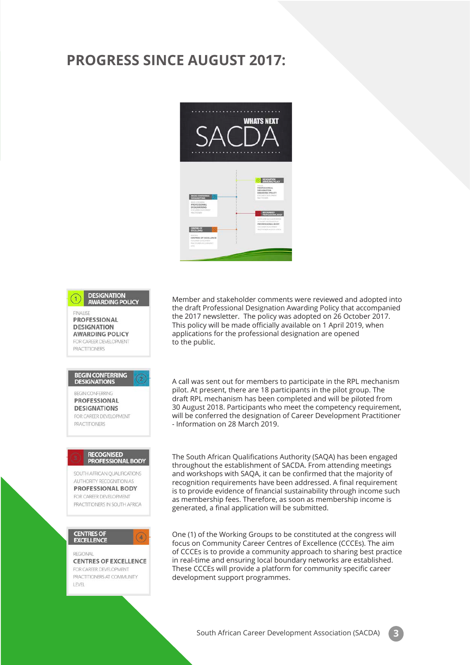### **PROGRESS SINCE AUGUST 2017:**



**DESIGNATION AWARDING POLICY FINALISE PROFESSIONAL DESIGNATION AWARDING POLICY** FOR CAREER DEVELOPMENT PRACTITIONERS BEGIN CONFERRING<br>DESIGNATIONS BEGIN CONFERRING **PROFESSIONAL DESIGNATIONS** FOR CAREER DEVELOPMENT PRACTITIONERS **RECOGNISED PROFESSIONAL BODY** SOUTH AFRICAN OUALIFICATIONS AUTHORITY RECOGNITION AS **PROFESSIONAL BODY** FOR CAREER DEVELOPMENT PRACTITIONERS IN SOUTH AFRICA **CENTRES OF<br>EXCELLENCE REGIONAL CENTRES OF EXCELLENCE** FOR CAREER DEVELOPMENT PRACTITIONERS AT COMMUNITY **I FVFI** 

Member and stakeholder comments were reviewed and adopted into the draft Professional Designation Awarding Policy that accompanied the 2017 newsletter. The policy was adopted on 26 October 2017. This policy will be made officially available on 1 April 2019, when applications for the professional designation are opened to the public.

A call was sent out for members to participate in the RPL mechanism pilot. At present, there are 18 participants in the pilot group. The draft RPL mechanism has been completed and will be piloted from 30 August 2018. Participants who meet the competency requirement, will be conferred the designation of Career Development Practitioner - Information on 28 March 2019.

The South African Qualifications Authority (SAQA) has been engaged throughout the establishment of SACDA. From attending meetings and workshops with SAQA, it can be confirmed that the majority of recognition requirements have been addressed. A final requirement is to provide evidence of financial sustainability through income such as membership fees. Therefore, as soon as membership income is generated, a final application will be submitted.

One (1) of the Working Groups to be constituted at the congress will focus on Community Career Centres of Excellence (CCCEs). The aim of CCCEs is to provide a community approach to sharing best practice in real-time and ensuring local boundary networks are established. These CCCEs will provide a platform for community specific career development support programmes.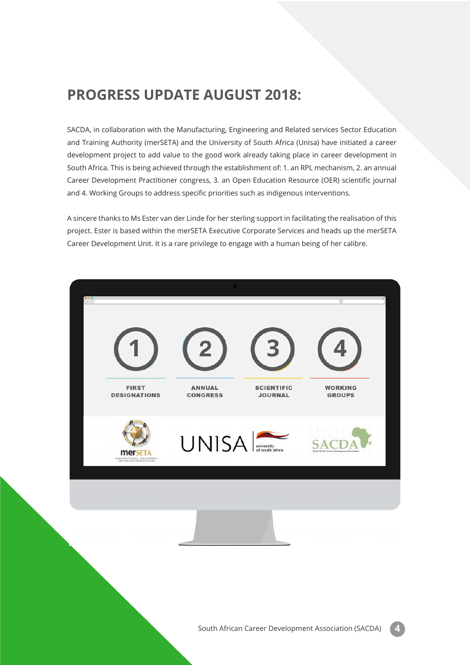### **PROGRESS UPDATE AUGUST 2018:**

SACDA, in collaboration with the Manufacturing, Engineering and Related services Sector Education and Training Authority (merSETA) and the University of South Africa (Unisa) have initiated a career development project to add value to the good work already taking place in career development in South Africa. This is being achieved through the establishment of: 1. an RPL mechanism, 2. an annual Career Development Practitioner congress, 3. an Open Education Resource (OER) scientific journal and 4. Working Groups to address specific priorities such as indigenous interventions.

A sincere thanks to Ms Ester van der Linde for her sterling support in facilitating the realisation of this project. Ester is based within the merSETA Executive Corporate Services and heads up the merSETA Career Development Unit. It is a rare privilege to engage with a human being of her calibre.

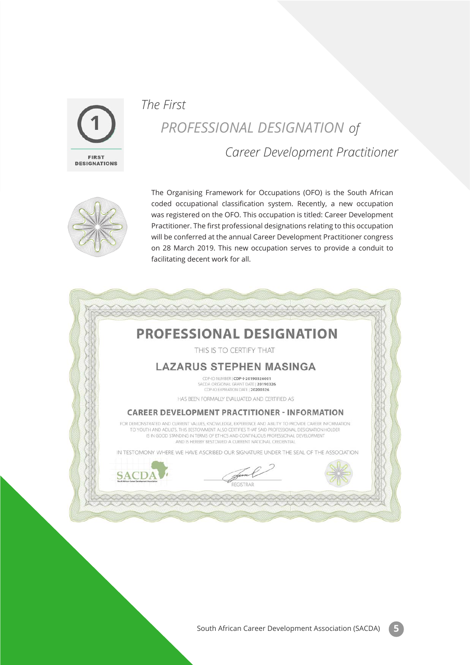

## *The First PROFESSIONAL DESIGNATION of Career Development Practitioner*



The Organising Framework for Occupations (OFO) is the South African coded occupational classification system. Recently, a new occupation was registered on the OFO. This occupation is titled: Career Development Practitioner. The first professional designations relating to this occupation will be conferred at the annual Career Development Practitioner congress on 28 March 2019. This new occupation serves to provide a conduit to facilitating decent work for all.

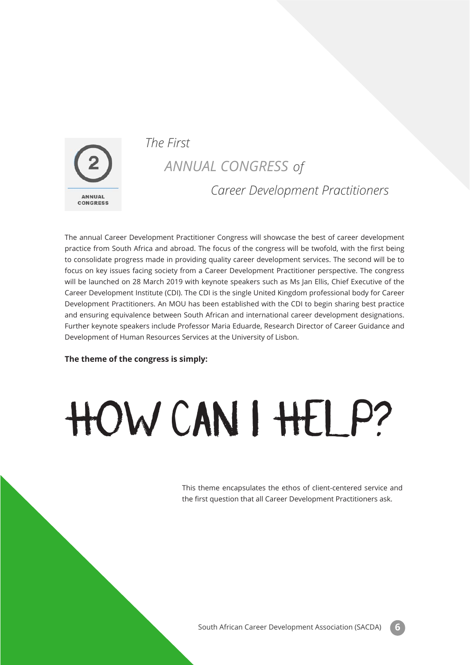

### *The First*

### *ANNUAL CONGRESS of Career Development Practitioners*

The annual Career Development Practitioner Congress will showcase the best of career development practice from South Africa and abroad. The focus of the congress will be twofold, with the first being to consolidate progress made in providing quality career development services. The second will be to focus on key issues facing society from a Career Development Practitioner perspective. The congress will be launched on 28 March 2019 with keynote speakers such as Ms Jan Ellis, Chief Executive of the Career Development Institute (CDI). The CDI is the single United Kingdom professional body for Career Development Practitioners. An MOU has been established with the CDI to begin sharing best practice and ensuring equivalence between South African and international career development designations. Further keynote speakers include Professor Maria Eduarde, Research Director of Career Guidance and Development of Human Resources Services at the University of Lisbon.

#### **The theme of the congress is simply:**

# HOW CAN I HELP?

This theme encapsulates the ethos of client-centered service and the first question that all Career Development Practitioners ask.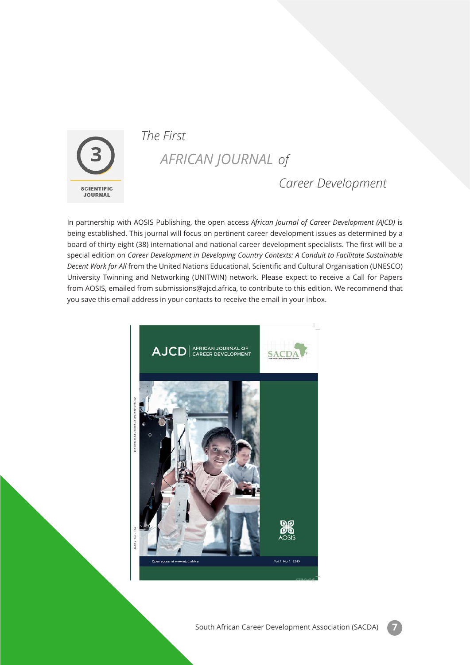

### *The First*

### *AFRICAN JOURNAL of*

### *Career Development*

In partnership with AOSIS Publishing, the open access *African Journal of Career Development (AJCD)* is being established. This journal will focus on pertinent career development issues as determined by a board of thirty eight (38) international and national career development specialists. The first will be a special edition on *Career Development in Developing Country Contexts: A Conduit to Facilitate Sustainable Decent Work for All* from the United Nations Educational, Scientific and Cultural Organisation (UNESCO) University Twinning and Networking (UNITWIN) network. Please expect to receive a Call for Papers from AOSIS, emailed from submissions@ajcd.africa, to contribute to this edition. We recommend that you save this email address in your contacts to receive the email in your inbox.

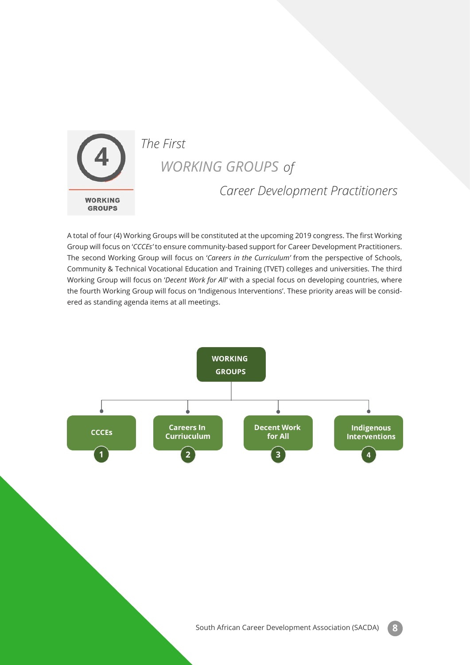

### *WORKING GROUPS of*

### *Career Development Practitioners*

A total of four (4) Working Groups will be constituted at the upcoming 2019 congress. The first Working Group will focus on '*CCCEs'* to ensure community-based support for Career Development Practitioners. The second Working Group will focus on '*Careers in the Curriculum'* from the perspective of Schools, Community & Technical Vocational Education and Training (TVET) colleges and universities. The third Working Group will focus on '*Decent Work for All'* with a special focus on developing countries, where the fourth Working Group will focus on 'Indigenous Interventions'. These priority areas will be considered as standing agenda items at all meetings.

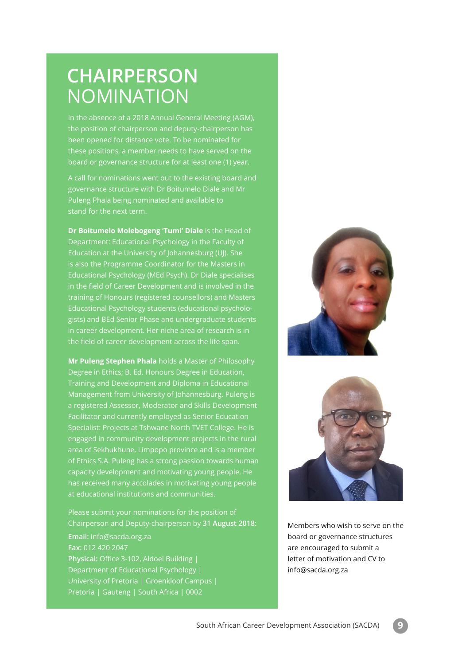## **CHAIRPERSON** NOMINATION

In the absence of a 2018 Annual General Meeting (AGM), the position of chairperson and deputy-chairperson has been opened for distance vote. To be nominated for these positions, a member needs to have served on the board or governance structure for at least one (1) year.

A call for nominations went out to the existing board and governance structure with Dr Boitumelo Diale and Mr Puleng Phala being nominated and available to stand for the next term.

**Dr Boitumelo Molebogeng 'Tumi' Diale** is the Head of Department: Educational Psychology in the Faculty of Education at the University of Johannesburg (UJ). She is also the Programme Coordinator for the Masters in Educational Psychology (MEd Psych). Dr Diale specialises in the field of Career Development and is involved in the training of Honours (registered counsellors) and Masters Educational Psychology students (educational psychologists) and BEd Senior Phase and undergraduate students in career development. Her niche area of research is in the field of career development across the life span.

**Mr Puleng Stephen Phala** holds a Master of Philosophy Degree in Ethics; B. Ed. Honours Degree in Education, Training and Development and Diploma in Educational Management from University of Johannesburg. Puleng is a registered Assessor, Moderator and Skills Development Facilitator and currently employed as Senior Education Specialist: Projects at Tshwane North TVET College. He is engaged in community development projects in the rural area of Sekhukhune, Limpopo province and is a member of Ethics S.A. Puleng has a strong passion towards human capacity development and motivating young people. He has received many accolades in motivating young people at educational institutions and communities.

Chairperson and Deputy-chairperson by **31 August 2018**: **Email:** info@sacda.org.za **Fax:** 012 420 2047 **Physical:** Office 3-102, Aldoel Building | Department of Educational Psychology | University of Pretoria | Groenkloof Campus | Pretoria | Gauteng | South Africa | 0002





Members who wish to serve on the board or governance structures are encouraged to submit a letter of motivation and CV to info@sacda.org.za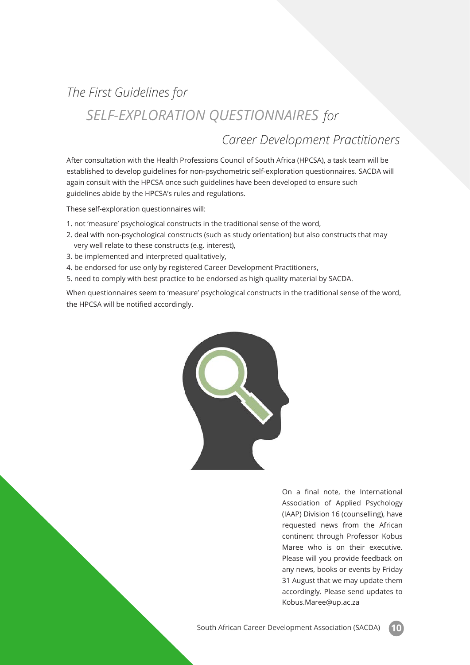## *The First Guidelines for SELF-EXPLORATION QUESTIONNAIRES for*

### *Career Development Practitioners*

After consultation with the Health Professions Council of South Africa (HPCSA), a task team will be established to develop guidelines for non-psychometric self-exploration questionnaires. SACDA will again consult with the HPCSA once such guidelines have been developed to ensure such guidelines abide by the HPCSA's rules and regulations.

These self-exploration questionnaires will:

- 1. not 'measure' psychological constructs in the traditional sense of the word,
- 2. deal with non-psychological constructs (such as study orientation) but also constructs that may very well relate to these constructs (e.g. interest),
- 3. be implemented and interpreted qualitatively,
- 4. be endorsed for use only by registered Career Development Practitioners,
- 5. need to comply with best practice to be endorsed as high quality material by SACDA.

When questionnaires seem to 'measure' psychological constructs in the traditional sense of the word, the HPCSA will be notified accordingly.



On a final note, the International Association of Applied Psychology (IAAP) Division 16 (counselling), have requested news from the African continent through Professor Kobus Maree who is on their executive. Please will you provide feedback on any news, books or events by Friday 31 August that we may update them accordingly. Please send updates to Kobus.Maree@up.ac.za

South African Career Development Association (SACDA) **10**